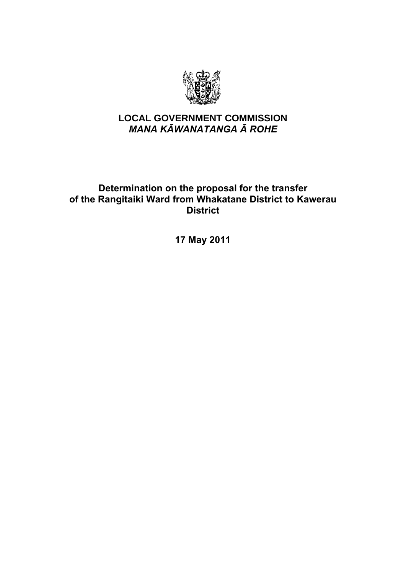

# **LOCAL GOVERNMENT COMMISSION**  *MANA KĀWANATANGA Ā ROHE*

# Determination on the proposal for the transfer of the Rangitaiki Ward from Whakatane District to Kawerau **District**

17 May 2011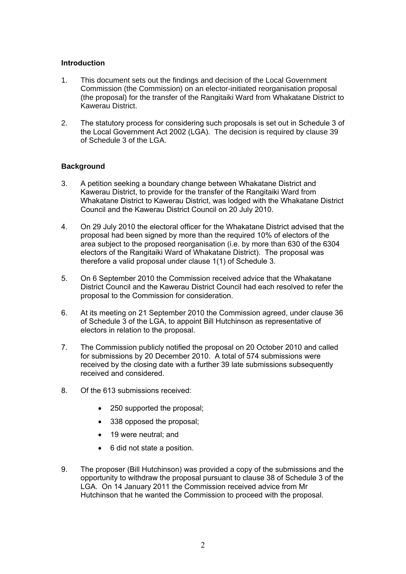#### Introduction

- 1. This document sets out the findings and decision of the Local Government Commission (the Commission) on an elector-initiated reorganisation proposal (the proposal) for the transfer of the Rangitaiki Ward from Whakatane District to Kawerau District.
- 2. The statutory process for considering such proposals is set out in Schedule 3 of the Local Government Act 2002 (LGA). The decision is required by clause 39 of Schedule 3 of the LGA.

# **Background**

- 3. A petition seeking a boundary change between Whakatane District and Kawerau District, to provide for the transfer of the Rangitaiki Ward from Whakatane District to Kawerau District, was lodged with the Whakatane District Council and the Kawerau District Council on 20 July 2010.
- 4. On 29 July 2010 the electoral officer for the Whakatane District advised that the proposal had been signed by more than the required 10% of electors of the area subject to the proposed reorganisation (i.e. by more than 630 of the 6304 electors of the Rangitaiki Ward of Whakatane District). The proposal was therefore a valid proposal under clause 1(1) of Schedule 3.
- 5. On 6 September 2010 the Commission received advice that the Whakatane District Council and the Kawerau District Council had each resolved to refer the proposal to the Commission for consideration.
- 6. At its meeting on 21 September 2010 the Commission agreed, under clause 36 of Schedule 3 of the LGA, to appoint Bill Hutchinson as representative of electors in relation to the proposal.
- 7. The Commission publicly notified the proposal on 20 October 2010 and called for submissions by 20 December 2010. A total of 574 submissions were received by the closing date with a further 39 late submissions subsequently received and considered.
- 8. Of the 613 submissions received:
	- 250 supported the proposal;
	- 338 opposed the proposal;
	- 19 were neutral; and
	- 6 did not state a position.
- 9. The proposer (Bill Hutchinson) was provided a copy of the submissions and the opportunity to withdraw the proposal pursuant to clause 38 of Schedule 3 of the LGA. On 14 January 2011 the Commission received advice from Mr Hutchinson that he wanted the Commission to proceed with the proposal.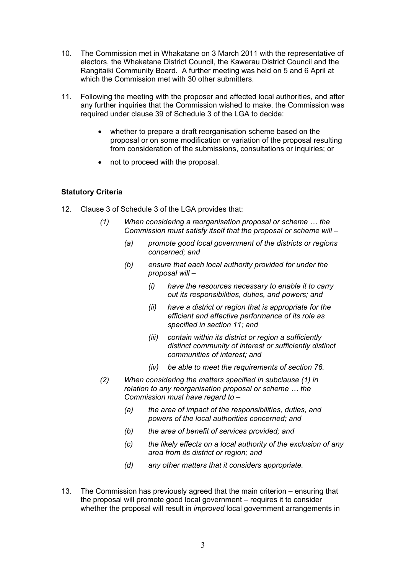- 10. The Commission met in Whakatane on 3 March 2011 with the representative of electors, the Whakatane District Council, the Kawerau District Council and the Rangitaiki Community Board. A further meeting was held on 5 and 6 April at which the Commission met with 30 other submitters.
- 11. Following the meeting with the proposer and affected local authorities, and after any further inquiries that the Commission wished to make, the Commission was required under clause 39 of Schedule 3 of the LGA to decide:
	- whether to prepare a draft reorganisation scheme based on the proposal or on some modification or variation of the proposal resulting from consideration of the submissions, consultations or inquiries; or
	- not to proceed with the proposal.

# Statutory Criteria

- 12. Clause 3 of Schedule 3 of the LGA provides that:
	- *(1) When considering a reorganisation proposal or scheme … the Commission must satisfy itself that the proposal or scheme will –* 
		- *(a) promote good local government of the districts or regions concerned; and*
		- *(b) ensure that each local authority provided for under the proposal will –* 
			- *(i) have the resources necessary to enable it to carry out its responsibilities, duties, and powers; and*
			- *(ii) have a district or region that is appropriate for the efficient and effective performance of its role as specified in section 11; and*
			- *(iii) contain within its district or region a sufficiently distinct community of interest or sufficiently distinct communities of interest; and*
			- *(iv) be able to meet the requirements of section 76.*
	- *(2) When considering the matters specified in subclause (1) in relation to any reorganisation proposal or scheme … the Commission must have regard to –* 
		- *(a) the area of impact of the responsibilities, duties, and powers of the local authorities concerned; and*
		- *(b) the area of benefit of services provided; and*
		- *(c) the likely effects on a local authority of the exclusion of any area from its district or region; and*
		- *(d) any other matters that it considers appropriate.*
- 13. The Commission has previously agreed that the main criterion ensuring that the proposal will promote good local government – requires it to consider whether the proposal will result in *improved* local government arrangements in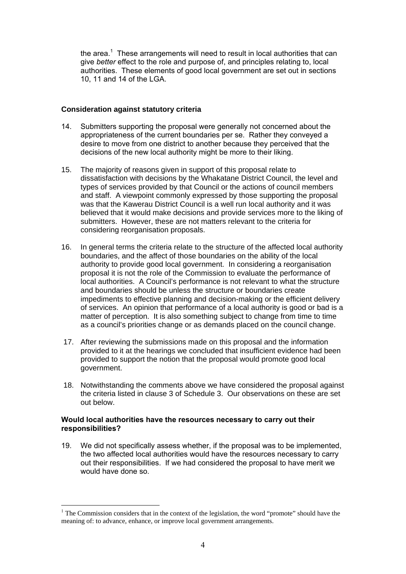the area.<sup>1</sup> These arrangements will need to result in local authorities that can give *better* effect to the role and purpose of, and principles relating to, local authorities. These elements of good local government are set out in sections 10, 11 and 14 of the LGA.

# **Consideration against statutory criteria**

- 14. Submitters supporting the proposal were generally not concerned about the appropriateness of the current boundaries per se. Rather they conveyed a desire to move from one district to another because they perceived that the decisions of the new local authority might be more to their liking.
- 15. The majority of reasons given in support of this proposal relate to dissatisfaction with decisions by the Whakatane District Council, the level and types of services provided by that Council or the actions of council members and staff. A viewpoint commonly expressed by those supporting the proposal was that the Kawerau District Council is a well run local authority and it was believed that it would make decisions and provide services more to the liking of submitters. However, these are not matters relevant to the criteria for considering reorganisation proposals.
- 16. In general terms the criteria relate to the structure of the affected local authority boundaries, and the affect of those boundaries on the ability of the local authority to provide good local government. In considering a reorganisation proposal it is not the role of the Commission to evaluate the performance of local authorities. A Council's performance is not relevant to what the structure and boundaries should be unless the structure or boundaries create impediments to effective planning and decision-making or the efficient delivery of services. An opinion that performance of a local authority is good or bad is a matter of perception. It is also something subject to change from time to time as a council's priorities change or as demands placed on the council change.
- 17. After reviewing the submissions made on this proposal and the information provided to it at the hearings we concluded that insufficient evidence had been provided to support the notion that the proposal would promote good local government.
- 18. Notwithstanding the comments above we have considered the proposal against the criteria listed in clause 3 of Schedule 3. Our observations on these are set out below.

# Would local authorities have the resources necessary to carry out their responsibilities?

19. We did not specifically assess whether, if the proposal was to be implemented, the two affected local authorities would have the resources necessary to carry out their responsibilities. If we had considered the proposal to have merit we would have done so.

 $\overline{a}$ 

<sup>&</sup>lt;sup>1</sup> The Commission considers that in the context of the legislation, the word "promote" should have the meaning of: to advance, enhance, or improve local government arrangements.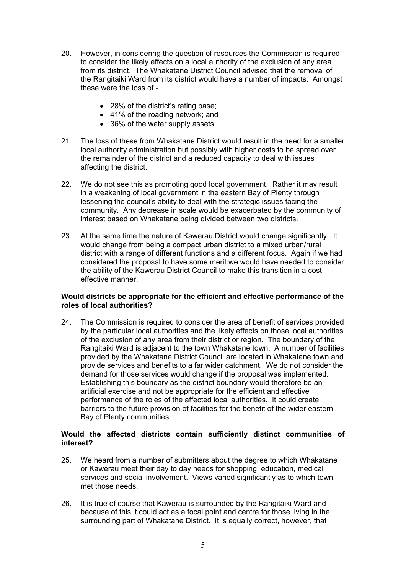- 20. However, in considering the question of resources the Commission is required to consider the likely effects on a local authority of the exclusion of any area from its district. The Whakatane District Council advised that the removal of the Rangitaiki Ward from its district would have a number of impacts. Amongst these were the loss of -
	- 28% of the district's rating base;
	- 41% of the roading network; and
	- 36% of the water supply assets.
- 21. The loss of these from Whakatane District would result in the need for a smaller local authority administration but possibly with higher costs to be spread over the remainder of the district and a reduced capacity to deal with issues affecting the district.
- 22. We do not see this as promoting good local government. Rather it may result in a weakening of local government in the eastern Bay of Plenty through lessening the council's ability to deal with the strategic issues facing the community. Any decrease in scale would be exacerbated by the community of interest based on Whakatane being divided between two districts.
- 23. At the same time the nature of Kawerau District would change significantly. It would change from being a compact urban district to a mixed urban/rural district with a range of different functions and a different focus. Again if we had considered the proposal to have some merit we would have needed to consider the ability of the Kawerau District Council to make this transition in a cost effective manner.

#### Would districts be appropriate for the efficient and effective performance of the roles of local authorities?

24. The Commission is required to consider the area of benefit of services provided by the particular local authorities and the likely effects on those local authorities of the exclusion of any area from their district or region. The boundary of the Rangitaiki Ward is adjacent to the town Whakatane town. A number of facilities provided by the Whakatane District Council are located in Whakatane town and provide services and benefits to a far wider catchment. We do not consider the demand for those services would change if the proposal was implemented. Establishing this boundary as the district boundary would therefore be an artificial exercise and not be appropriate for the efficient and effective performance of the roles of the affected local authorities. It could create barriers to the future provision of facilities for the benefit of the wider eastern Bay of Plenty communities.

# Would the affected districts contain sufficiently distinct communities of interest?

- 25. We heard from a number of submitters about the degree to which Whakatane or Kawerau meet their day to day needs for shopping, education, medical services and social involvement. Views varied significantly as to which town met those needs.
- 26. It is true of course that Kawerau is surrounded by the Rangitaiki Ward and because of this it could act as a focal point and centre for those living in the surrounding part of Whakatane District. It is equally correct, however, that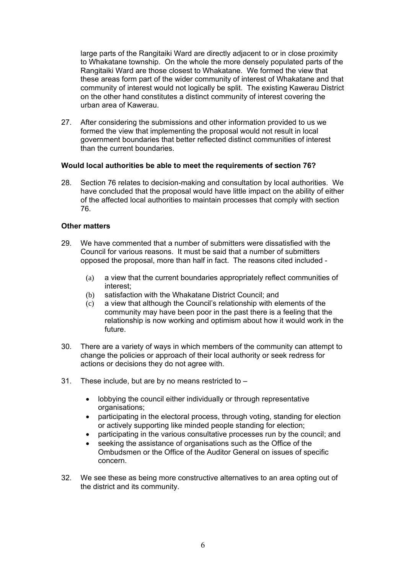large parts of the Rangitaiki Ward are directly adjacent to or in close proximity to Whakatane township. On the whole the more densely populated parts of the Rangitaiki Ward are those closest to Whakatane. We formed the view that these areas form part of the wider community of interest of Whakatane and that community of interest would not logically be split. The existing Kawerau District on the other hand constitutes a distinct community of interest covering the urban area of Kawerau.

27. After considering the submissions and other information provided to us we formed the view that implementing the proposal would not result in local government boundaries that better reflected distinct communities of interest than the current boundaries.

#### Would local authorities be able to meet the requirements of section 76?

28. Section 76 relates to decision-making and consultation by local authorities. We have concluded that the proposal would have little impact on the ability of either of the affected local authorities to maintain processes that comply with section 76.

# Other matters

- 29. We have commented that a number of submitters were dissatisfied with the Council for various reasons. It must be said that a number of submitters opposed the proposal, more than half in fact. The reasons cited included -
	- (a) a view that the current boundaries appropriately reflect communities of interest;
	- (b) satisfaction with the Whakatane District Council; and
	- (c) a view that although the Council's relationship with elements of the community may have been poor in the past there is a feeling that the relationship is now working and optimism about how it would work in the future.
- 30. There are a variety of ways in which members of the community can attempt to change the policies or approach of their local authority or seek redress for actions or decisions they do not agree with.
- 31. These include, but are by no means restricted to
	- lobbying the council either individually or through representative organisations;
	- participating in the electoral process, through voting, standing for election or actively supporting like minded people standing for election;
	- participating in the various consultative processes run by the council; and
	- seeking the assistance of organisations such as the Office of the Ombudsmen or the Office of the Auditor General on issues of specific concern.
- 32. We see these as being more constructive alternatives to an area opting out of the district and its community.